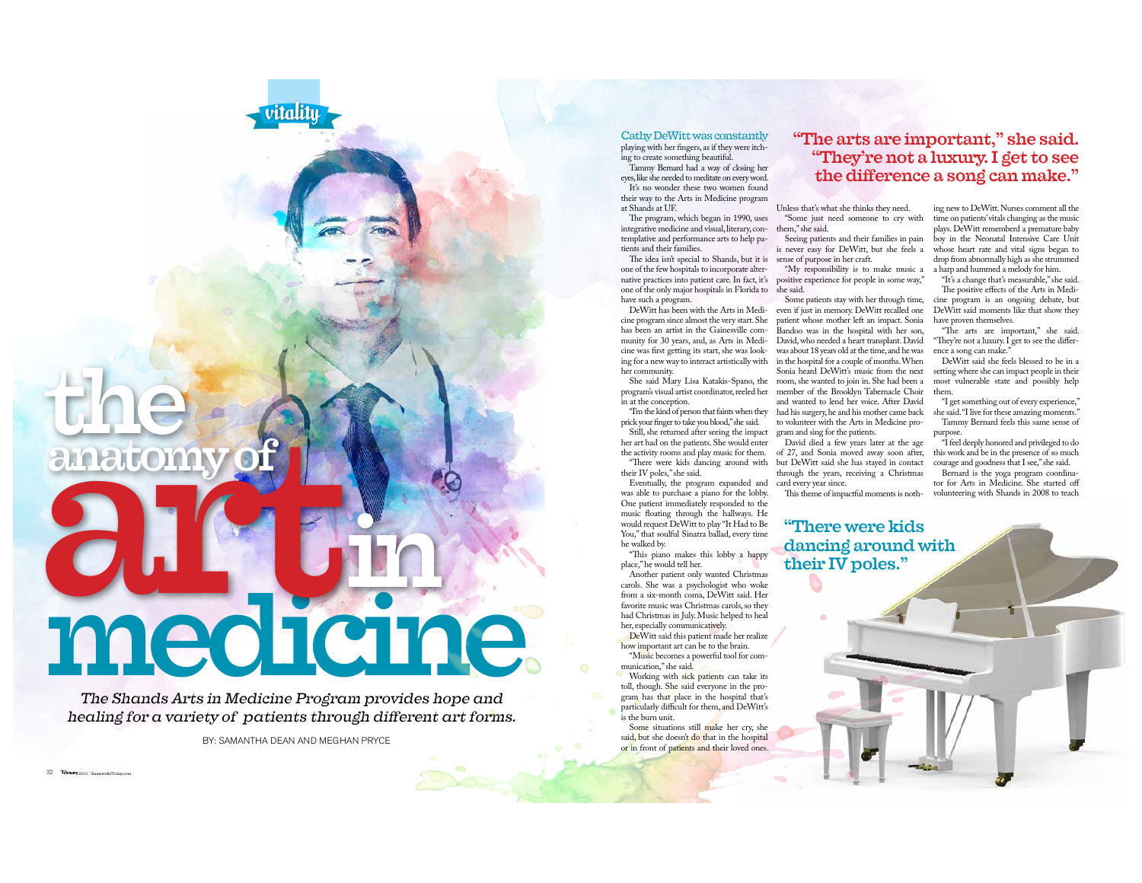## anatomy medicine.

vitalitu

The Shands Arts in Medicine Program provides hope and healing for a variety of patients through different art forms.

BY: SAMANTHA DEAN AND MEGHAN PRYCE

32 Tebruary 2013 GainesvilleTod

Cathy DeWitt was constantly playing with her fingers, as if they were itching to create something beautiful Tammy Bernard had a way of closing her

eves, like she needed to meditate on every word. It's no wonder these two women found their way to the Arts in Medicine program

at Shands at UE The program, which began in 1990, uses

integrative medicine and visual, literary, con-<br>them," she said. templative and performance arts to help patients and their families.

The idea isn't special to Shands, but it is one of the few hospitals to incorporate alterone of the only major hospitals in Florida to she said. have such a program.

DeWitt has been with the Arts in Medicine program since almost the very start. She has been an artist in the Gainesville community for 30 years, and, as Arts in Mediher community.

in at the conception.

"I'm the kind of person that faints when they prick your finger to take you blood," she said. Still, she returned after seeing the impact her art had on the patients. She would enter

the activity rooms and play music for them. "There were kids dancing around with their IV poles," she said.

Eventually, the program expanded and card every year since. was able to purchase a piano for the lobby. One patient immediately responded to the music floating through the hallways. He would request DeWitt to play "It Had to Be You," that soulful Sinatra ballad, every time he walked by.

"This piano makes this lobby a happy place," he would tell her.

Another patient only wanted Christmas carols. She was a psychologist who woke from a six-month coma. DeWitt said. Her favorite music was Christmas carols, so they had Christmas in July. Music helped to heal her, especially communicatively. DeWitt said this patient made her realize

how important art can be to the brain. "Music becomes a powerful tool for communication," she said.

Working with sick patients can take its toll, though. She said everyone in the program has that place in the hospital that's particularly difficult for them, and DeWitt's is the burn unit. Some situations still make her cry she

said, but she doesn't do that in the hospital or in front of patients and their loved ones.

## "The arts are important," she said. "They're not a luxury. I get to see the difference a song can make."

Unless that's what she thinks they need. "Some just need someone to cry with

is never easy for DeWitt, but she feels a sense of purpose in her craft.

native practices into patient care. In fact, it's positive experience for people in some way,"

Some patients stay with her through time, even if just in memory. DeWitt recalled one DeWitt said moments like that show they patient whose mother left an impact. Sonia Bandoo was in the hospital with her son, David, who needed a heart transplant. David cine was first getting its start, she was look- was about 18 years old at the time, and he was ence a song can make. ing for a new way to interact artistically with in the hospital for a couple of months. When Sonia heard DeWitt's music from the next She said Mary Lisa Katakis-Spano, the room, she wanted to join in. She had been a program's visual artist coordinator, reeled her member of the Brooklyn Tabernacle Choir them. and wanted to lend her voice. After David had his surgery, he and his mother came back to volunteer with the Arts in Medicine pro-

gram and sing for the patients. David died a few years later at the age of 27, and Sonia moved away soon after, but DeWitt said she has staved in contact courage and goodness that I see," she said. through the years, receiving a Christmas

"There were kids

their IV poles."

dancing around with

ing new to DeWitt. Nurses comment all the time on patients' vitals changing as the music plays. DeWitt rememberd a premature baby Seeing patients and their families in pain boy in the Neonatal Intensive Care Unit whose heart rate and vital signs began to drop from abnormally high as she strummed "My responsibility is to make music a a harp and hummed a melody for him.

"It's a change that's measurable," she said. The positive effects of the Arts in Medicine program is an ongoing debate, but have proven themselves.

"The arts are important." she said. "They're not a luxury. I get to see the differ-

DeWitt said she feels blessed to be in a setting where she can impact people in their most vulnerable state and possibly help

"I get something out of every experience," she said. "I live for these amazing moments." Tammy Bernard feels this same sense of

"I feel deeply honored and privileged to do this work and be in the presence of so much

Bernard is the yoga program coordinator for Arts in Medicine. She started off This theme of impactful moments is noth- volunteering with Shands in 2008 to teach